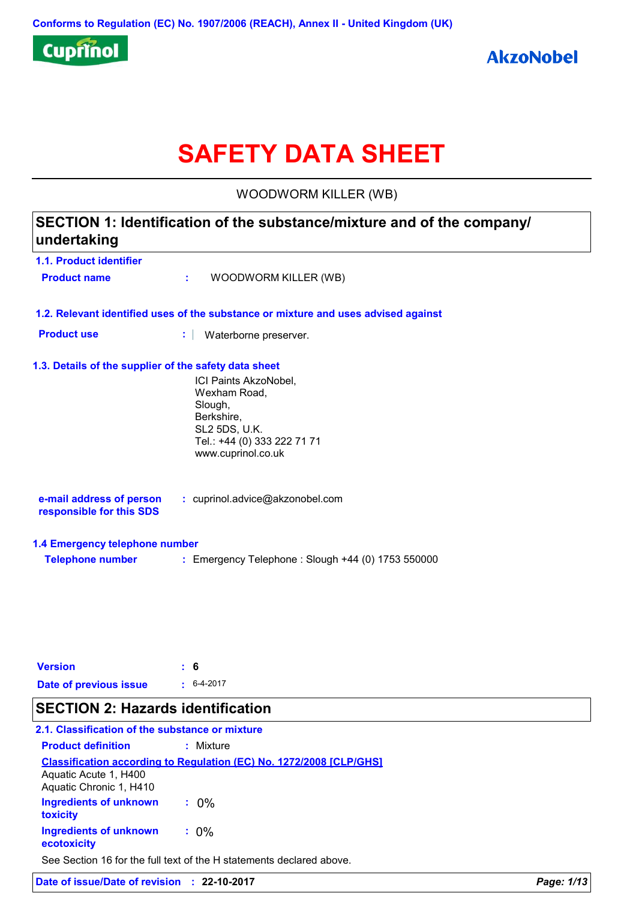

# **SAFETY DATA SHEET**

WOODWORM KILLER (WB)

# **1.1. Product identifier 1.3. Details of the supplier of the safety data sheet 1.2. Relevant identified uses of the substance or mixture and uses advised against SECTION 1: Identification of the substance/mixture and of the company/ undertaking Date of previous issue :** 6-4-2017 ICI Paints AkzoNobel, Wexham Road, Slough, Berkshire, SL2 5DS, U.K. Tel.: +44 (0) 333 222 71 71 www.cuprinol.co.uk **e-mail address of person responsible for this SDS :** cuprinol.advice@akzonobel.com **1.4 Emergency telephone number Telephone number :** Emergency Telephone : Slough +44 (0) 1753 550000 **Version : 6 Product name :** WOODWORM KILLER (WB) **Product use :** Waterborne preserver. **SECTION 2: Hazards identification**

### **2.1. Classification of the substance or mixture**

| <b>Product definition</b>                        | : Mixture                                                                  |
|--------------------------------------------------|----------------------------------------------------------------------------|
| Aquatic Acute 1, H400<br>Aquatic Chronic 1, H410 | <b>Classification according to Regulation (EC) No. 1272/2008 [CLP/GHS]</b> |
| <b>Ingredients of unknown</b><br>toxicity        | $: 0\%$                                                                    |
| <b>Ingredients of unknown</b><br>ecotoxicity     | $: 0\%$                                                                    |
|                                                  | See Section 16 for the full text of the H statements declared above.       |

**Date of issue/Date of revision : 22-10-2017** *Page: 1/13*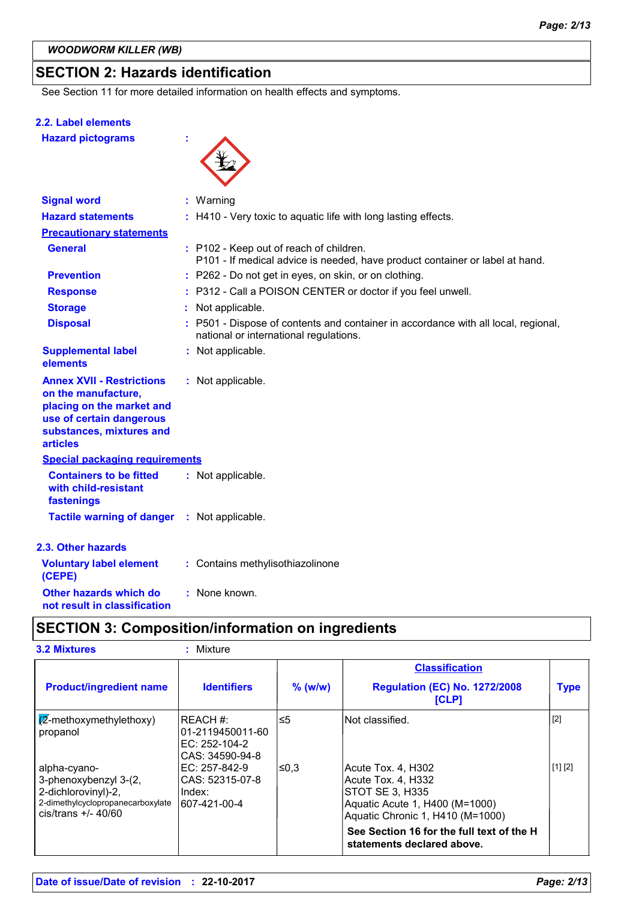### **SECTION 2: Hazards identification**

See Section 11 for more detailed information on health effects and symptoms.

#### **2.2. Label elements**

**Hazard pictograms :**



| <b>Signal word</b>                                                                                                                                              | $:$ Warning                                                                                                                  |
|-----------------------------------------------------------------------------------------------------------------------------------------------------------------|------------------------------------------------------------------------------------------------------------------------------|
| <b>Hazard statements</b>                                                                                                                                        | : H410 - Very toxic to aquatic life with long lasting effects.                                                               |
| <b>Precautionary statements</b>                                                                                                                                 |                                                                                                                              |
| <b>General</b>                                                                                                                                                  | : P102 - Keep out of reach of children.<br>P101 - If medical advice is needed, have product container or label at hand.      |
| <b>Prevention</b>                                                                                                                                               | : P262 - Do not get in eyes, on skin, or on clothing.                                                                        |
| <b>Response</b>                                                                                                                                                 | : P312 - Call a POISON CENTER or doctor if you feel unwell.                                                                  |
| <b>Storage</b>                                                                                                                                                  | Not applicable.                                                                                                              |
| <b>Disposal</b>                                                                                                                                                 | : P501 - Dispose of contents and container in accordance with all local, regional,<br>national or international regulations. |
| <b>Supplemental label</b><br>elements                                                                                                                           | : Not applicable.                                                                                                            |
| <b>Annex XVII - Restrictions</b><br>on the manufacture,<br>placing on the market and<br>use of certain dangerous<br>substances, mixtures and<br><b>articles</b> | : Not applicable.                                                                                                            |
| <b>Special packaging requirements</b>                                                                                                                           |                                                                                                                              |
| <b>Containers to be fitted</b><br>with child-resistant<br>fastenings                                                                                            | : Not applicable.                                                                                                            |
| <b>Tactile warning of danger : Not applicable.</b>                                                                                                              |                                                                                                                              |
| 2.3. Other hazards                                                                                                                                              |                                                                                                                              |
| <b>Voluntary label element</b><br>(CEPE)                                                                                                                        | : Contains methylisothiazolinone                                                                                             |
| Other hazards which do                                                                                                                                          | : None known.                                                                                                                |

**not result in classification**

### **SECTION 3: Composition/information on ingredients**

| <b>3.2 Mixtures</b> |  |
|---------------------|--|
|                     |  |
|                     |  |

```
3.2 Mixtures : Mixture
```

|                                                                                                                            |                                                                   |           | <b>Classification</b>                                                                                                                                                                                        |             |
|----------------------------------------------------------------------------------------------------------------------------|-------------------------------------------------------------------|-----------|--------------------------------------------------------------------------------------------------------------------------------------------------------------------------------------------------------------|-------------|
| <b>Product/ingredient name</b>                                                                                             | <b>Identifiers</b>                                                | $%$ (w/w) | <b>Regulation (EC) No. 1272/2008</b><br>[CLP]                                                                                                                                                                | <b>Type</b> |
| $\sqrt{2}$ -methoxymethylethoxy)<br>propanol                                                                               | IREACH #:<br>01-2119450011-60<br>EC: 252-104-2<br>CAS: 34590-94-8 | ≤5        | INot classified.                                                                                                                                                                                             | $[2]$       |
| alpha-cyano-<br>3-phenoxybenzyl 3-(2,<br>2-dichlorovinyl)-2,<br>2-dimethylcyclopropanecarboxylate<br>$cis/trans$ +/- 40/60 | IEC: 257-842-9<br>CAS: 52315-07-8<br>l Index:<br>607-421-00-4     | ≤0.3      | Acute Tox. 4, H302<br>Acute Tox. 4, H332<br>STOT SE 3, H335<br>Aquatic Acute 1, H400 (M=1000)<br>Aquatic Chronic 1, H410 (M=1000)<br>See Section 16 for the full text of the H<br>statements declared above. | [1] [2]     |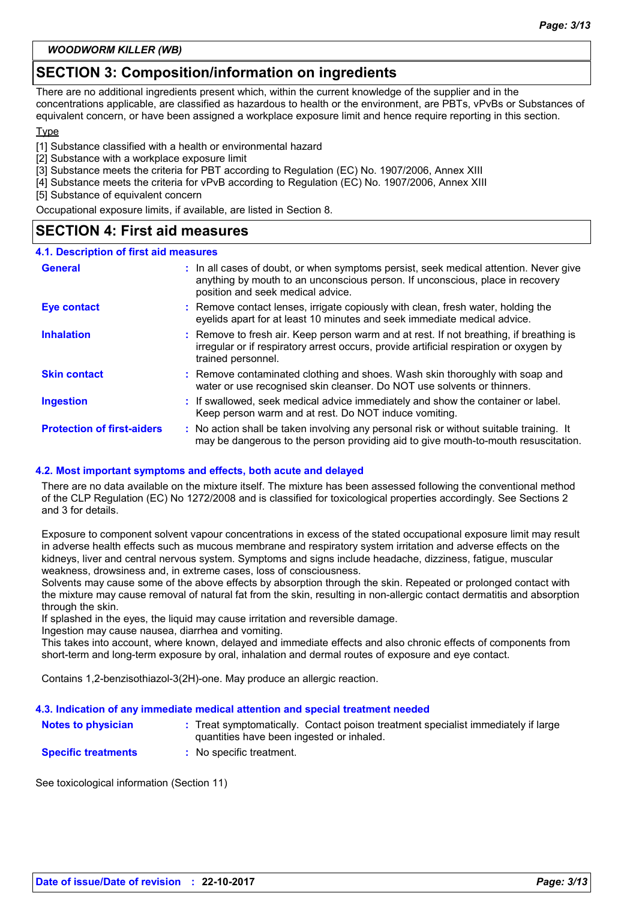#### *WOODWORM KILLER (WB)*

### **SECTION 3: Composition/information on ingredients**

There are no additional ingredients present which, within the current knowledge of the supplier and in the concentrations applicable, are classified as hazardous to health or the environment, are PBTs, vPvBs or Substances of equivalent concern, or have been assigned a workplace exposure limit and hence require reporting in this section.

#### Type

[1] Substance classified with a health or environmental hazard

[2] Substance with a workplace exposure limit

[3] Substance meets the criteria for PBT according to Regulation (EC) No. 1907/2006, Annex XIII

[4] Substance meets the criteria for vPvB according to Regulation (EC) No. 1907/2006, Annex XIII

[5] Substance of equivalent concern

Occupational exposure limits, if available, are listed in Section 8.

### **SECTION 4: First aid measures**

#### **4.1. Description of first aid measures**

| <b>General</b>                    | : In all cases of doubt, or when symptoms persist, seek medical attention. Never give<br>anything by mouth to an unconscious person. If unconscious, place in recovery<br>position and seek medical advice. |
|-----------------------------------|-------------------------------------------------------------------------------------------------------------------------------------------------------------------------------------------------------------|
| <b>Eye contact</b>                | : Remove contact lenses, irrigate copiously with clean, fresh water, holding the<br>eyelids apart for at least 10 minutes and seek immediate medical advice.                                                |
| <b>Inhalation</b>                 | : Remove to fresh air. Keep person warm and at rest. If not breathing, if breathing is<br>irregular or if respiratory arrest occurs, provide artificial respiration or oxygen by<br>trained personnel.      |
| <b>Skin contact</b>               | : Remove contaminated clothing and shoes. Wash skin thoroughly with soap and<br>water or use recognised skin cleanser. Do NOT use solvents or thinners.                                                     |
| <b>Ingestion</b>                  | : If swallowed, seek medical advice immediately and show the container or label.<br>Keep person warm and at rest. Do NOT induce vomiting.                                                                   |
| <b>Protection of first-aiders</b> | : No action shall be taken involving any personal risk or without suitable training. It<br>may be dangerous to the person providing aid to give mouth-to-mouth resuscitation.                               |

#### **4.2. Most important symptoms and effects, both acute and delayed**

There are no data available on the mixture itself. The mixture has been assessed following the conventional method of the CLP Regulation (EC) No 1272/2008 and is classified for toxicological properties accordingly. See Sections 2 and 3 for details.

Exposure to component solvent vapour concentrations in excess of the stated occupational exposure limit may result in adverse health effects such as mucous membrane and respiratory system irritation and adverse effects on the kidneys, liver and central nervous system. Symptoms and signs include headache, dizziness, fatigue, muscular weakness, drowsiness and, in extreme cases, loss of consciousness.

Solvents may cause some of the above effects by absorption through the skin. Repeated or prolonged contact with the mixture may cause removal of natural fat from the skin, resulting in non-allergic contact dermatitis and absorption through the skin.

If splashed in the eyes, the liquid may cause irritation and reversible damage.

Ingestion may cause nausea, diarrhea and vomiting.

This takes into account, where known, delayed and immediate effects and also chronic effects of components from short-term and long-term exposure by oral, inhalation and dermal routes of exposure and eye contact.

Contains 1,2-benzisothiazol-3(2H)-one. May produce an allergic reaction.

#### **4.3. Indication of any immediate medical attention and special treatment needed**

| <b>Notes to physician</b>  | : Treat symptomatically. Contact poison treatment specialist immediately if large<br>quantities have been ingested or inhaled. |
|----------------------------|--------------------------------------------------------------------------------------------------------------------------------|
| <b>Specific treatments</b> | : No specific treatment.                                                                                                       |

See toxicological information (Section 11)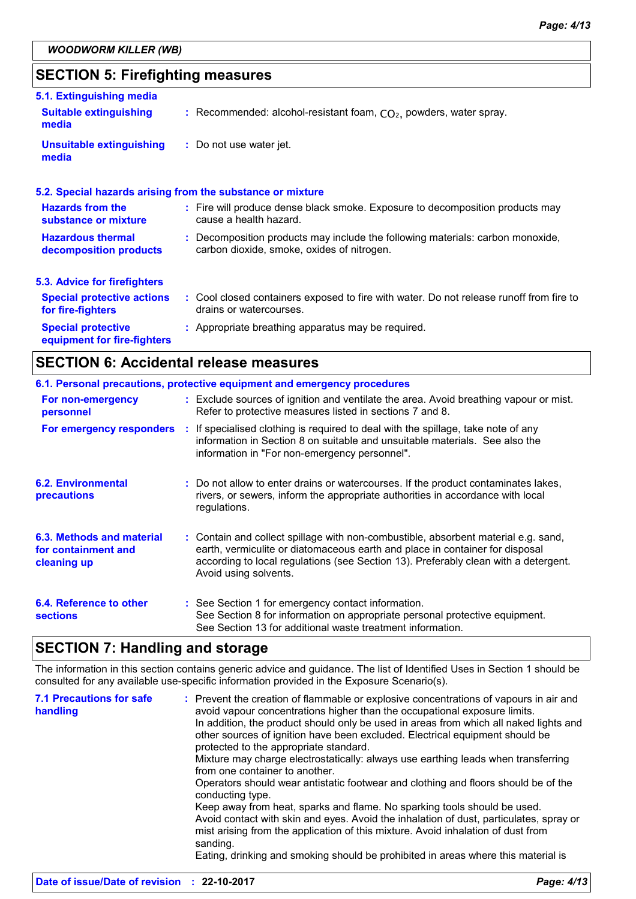### **SECTION 5: Firefighting measures**

| 5.1. Extinguishing media                                 |                                                                                                                              |
|----------------------------------------------------------|------------------------------------------------------------------------------------------------------------------------------|
| <b>Suitable extinguishing</b><br>media                   | : Recommended: alcohol-resistant foam, $CO2$ , powders, water spray.                                                         |
| <b>Unsuitable extinguishing</b><br>media                 | : Do not use water jet.                                                                                                      |
|                                                          | 5.2. Special hazards arising from the substance or mixture                                                                   |
| <b>Hazards from the</b><br>substance or mixture          | : Fire will produce dense black smoke. Exposure to decomposition products may<br>cause a health hazard.                      |
| <b>Hazardous thermal</b><br>decomposition products       | : Decomposition products may include the following materials: carbon monoxide,<br>carbon dioxide, smoke, oxides of nitrogen. |
| 5.3. Advice for firefighters                             |                                                                                                                              |
| <b>Special protective actions</b><br>for fire-fighters   | : Cool closed containers exposed to fire with water. Do not release runoff from fire to<br>drains or watercourses.           |
| <b>Special protective</b><br>equipment for fire-fighters | : Appropriate breathing apparatus may be required.                                                                           |

### **SECTION 6: Accidental release measures**

|                                                                 | 6.1. Personal precautions, protective equipment and emergency procedures                                                                                                                                                                                                           |
|-----------------------------------------------------------------|------------------------------------------------------------------------------------------------------------------------------------------------------------------------------------------------------------------------------------------------------------------------------------|
| For non-emergency<br>personnel                                  | : Exclude sources of ignition and ventilate the area. Avoid breathing vapour or mist.<br>Refer to protective measures listed in sections 7 and 8.                                                                                                                                  |
|                                                                 | For emergency responders : If specialised clothing is required to deal with the spillage, take note of any<br>information in Section 8 on suitable and unsuitable materials. See also the<br>information in "For non-emergency personnel".                                         |
| <b>6.2. Environmental</b><br>precautions                        | : Do not allow to enter drains or watercourses. If the product contaminates lakes,<br>rivers, or sewers, inform the appropriate authorities in accordance with local<br>regulations.                                                                                               |
| 6.3. Methods and material<br>for containment and<br>cleaning up | : Contain and collect spillage with non-combustible, absorbent material e.g. sand,<br>earth, vermiculite or diatomaceous earth and place in container for disposal<br>according to local regulations (see Section 13). Preferably clean with a detergent.<br>Avoid using solvents. |
| 6.4. Reference to other<br><b>sections</b>                      | : See Section 1 for emergency contact information.<br>See Section 8 for information on appropriate personal protective equipment.<br>See Section 13 for additional waste treatment information.                                                                                    |

### **SECTION 7: Handling and storage**

The information in this section contains generic advice and guidance. The list of Identified Uses in Section 1 should be consulted for any available use-specific information provided in the Exposure Scenario(s).

| <b>7.1 Precautions for safe</b><br>handling | : Prevent the creation of flammable or explosive concentrations of vapours in air and<br>avoid vapour concentrations higher than the occupational exposure limits.<br>In addition, the product should only be used in areas from which all naked lights and<br>other sources of ignition have been excluded. Electrical equipment should be<br>protected to the appropriate standard.<br>Mixture may charge electrostatically: always use earthing leads when transferring<br>from one container to another.<br>Operators should wear antistatic footwear and clothing and floors should be of the<br>conducting type.<br>Keep away from heat, sparks and flame. No sparking tools should be used.<br>Avoid contact with skin and eyes. Avoid the inhalation of dust, particulates, spray or<br>mist arising from the application of this mixture. Avoid inhalation of dust from<br>sanding. |
|---------------------------------------------|----------------------------------------------------------------------------------------------------------------------------------------------------------------------------------------------------------------------------------------------------------------------------------------------------------------------------------------------------------------------------------------------------------------------------------------------------------------------------------------------------------------------------------------------------------------------------------------------------------------------------------------------------------------------------------------------------------------------------------------------------------------------------------------------------------------------------------------------------------------------------------------------|
|                                             | Eating, drinking and smoking should be prohibited in areas where this material is                                                                                                                                                                                                                                                                                                                                                                                                                                                                                                                                                                                                                                                                                                                                                                                                            |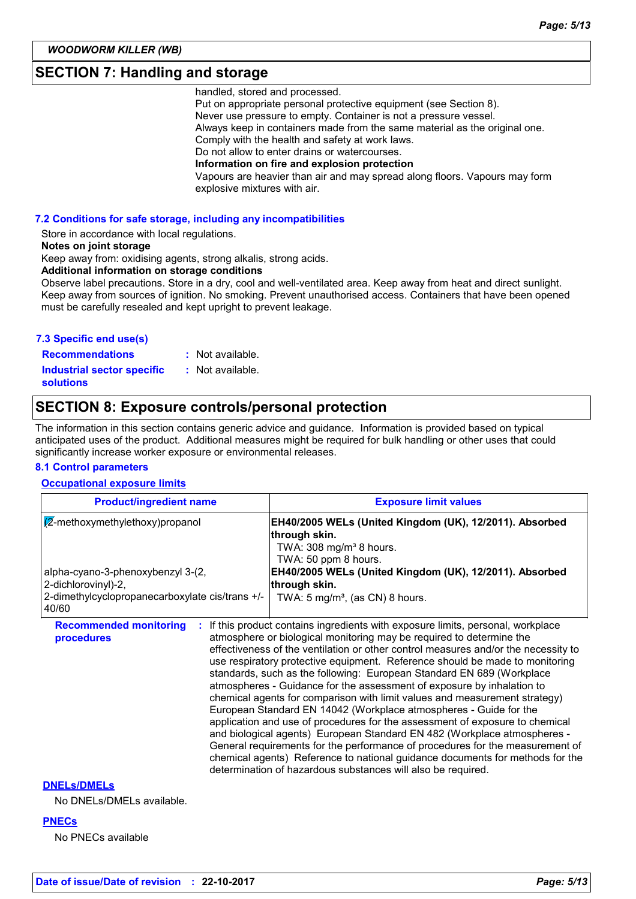### **SECTION 7: Handling and storage**

handled, stored and processed.

Put on appropriate personal protective equipment (see Section 8). Never use pressure to empty. Container is not a pressure vessel. Always keep in containers made from the same material as the original one. Comply with the health and safety at work laws. Do not allow to enter drains or watercourses. **Information on fire and explosion protection** Vapours are heavier than air and may spread along floors. Vapours may form explosive mixtures with air.

#### **7.2 Conditions for safe storage, including any incompatibilities**

Store in accordance with local regulations.

#### **Notes on joint storage**

Keep away from: oxidising agents, strong alkalis, strong acids.

**Additional information on storage conditions**

Observe label precautions. Store in a dry, cool and well-ventilated area. Keep away from heat and direct sunlight. Keep away from sources of ignition. No smoking. Prevent unauthorised access. Containers that have been opened must be carefully resealed and kept upright to prevent leakage.

### **7.3 Specific end use(s)**

**Recommendations : Industrial sector specific : solutions**

: Not available. : Not available.

### **SECTION 8: Exposure controls/personal protection**

The information in this section contains generic advice and guidance. Information is provided based on typical anticipated uses of the product. Additional measures might be required for bulk handling or other uses that could significantly increase worker exposure or environmental releases.

#### **8.1 Control parameters**

#### **Occupational exposure limits**

| <b>Product/ingredient name</b>                           | <b>Exposure limit values</b>                                                                                                                                                                                                                                                                                                                                                                                                                                                                                                                                                                                                                                                                                                                                                                                                                                                                                                                                                                                                     |  |
|----------------------------------------------------------|----------------------------------------------------------------------------------------------------------------------------------------------------------------------------------------------------------------------------------------------------------------------------------------------------------------------------------------------------------------------------------------------------------------------------------------------------------------------------------------------------------------------------------------------------------------------------------------------------------------------------------------------------------------------------------------------------------------------------------------------------------------------------------------------------------------------------------------------------------------------------------------------------------------------------------------------------------------------------------------------------------------------------------|--|
| $\sqrt{\mathbb{Z}}$ -methoxymethylethoxy)propanol        | EH40/2005 WELs (United Kingdom (UK), 12/2011). Absorbed<br>through skin.<br>TWA: $308 \text{ mg/m}^3$ 8 hours.<br>TWA: 50 ppm 8 hours.<br>EH40/2005 WELs (United Kingdom (UK), 12/2011). Absorbed<br>through skin.                                                                                                                                                                                                                                                                                                                                                                                                                                                                                                                                                                                                                                                                                                                                                                                                               |  |
| alpha-cyano-3-phenoxybenzyl 3-(2,<br>2-dichlorovinyl)-2, |                                                                                                                                                                                                                                                                                                                                                                                                                                                                                                                                                                                                                                                                                                                                                                                                                                                                                                                                                                                                                                  |  |
| 2-dimethylcyclopropanecarboxylate cis/trans +/-<br>40/60 | TWA: $5 \text{ mg/m}^3$ , (as CN) 8 hours.                                                                                                                                                                                                                                                                                                                                                                                                                                                                                                                                                                                                                                                                                                                                                                                                                                                                                                                                                                                       |  |
| <b>Recommended monitoring</b><br>procedures              | If this product contains ingredients with exposure limits, personal, workplace<br>atmosphere or biological monitoring may be required to determine the<br>effectiveness of the ventilation or other control measures and/or the necessity to<br>use respiratory protective equipment. Reference should be made to monitoring<br>standards, such as the following: European Standard EN 689 (Workplace<br>atmospheres - Guidance for the assessment of exposure by inhalation to<br>chemical agents for comparison with limit values and measurement strategy)<br>European Standard EN 14042 (Workplace atmospheres - Guide for the<br>application and use of procedures for the assessment of exposure to chemical<br>and biological agents) European Standard EN 482 (Workplace atmospheres -<br>General requirements for the performance of procedures for the measurement of<br>chemical agents) Reference to national guidance documents for methods for the<br>determination of hazardous substances will also be required. |  |

#### **DNELs/DMELs**

No DNELs/DMELs available.

#### **PNECs**

No PNECs available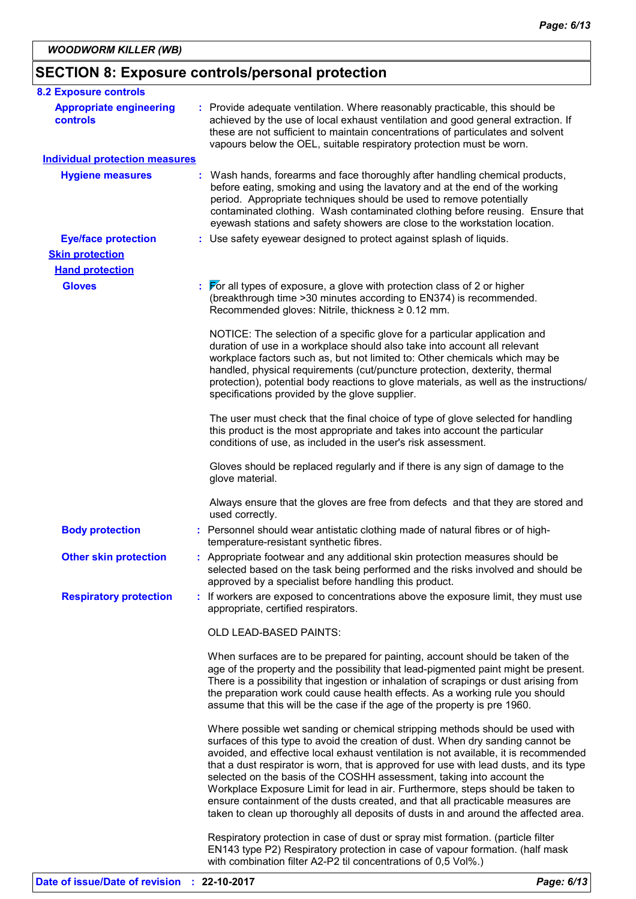## **SECTION 8: Exposure controls/personal protection**

| <b>8.2 Exposure controls</b>               |                                                                                                                                                                                                                                                                                                                                                                                                                                                                                                                                                                                                                                                                                         |
|--------------------------------------------|-----------------------------------------------------------------------------------------------------------------------------------------------------------------------------------------------------------------------------------------------------------------------------------------------------------------------------------------------------------------------------------------------------------------------------------------------------------------------------------------------------------------------------------------------------------------------------------------------------------------------------------------------------------------------------------------|
| <b>Appropriate engineering</b><br>controls | : Provide adequate ventilation. Where reasonably practicable, this should be<br>achieved by the use of local exhaust ventilation and good general extraction. If<br>these are not sufficient to maintain concentrations of particulates and solvent<br>vapours below the OEL, suitable respiratory protection must be worn.                                                                                                                                                                                                                                                                                                                                                             |
| <b>Individual protection measures</b>      |                                                                                                                                                                                                                                                                                                                                                                                                                                                                                                                                                                                                                                                                                         |
| <b>Hygiene measures</b>                    | : Wash hands, forearms and face thoroughly after handling chemical products,<br>before eating, smoking and using the lavatory and at the end of the working<br>period. Appropriate techniques should be used to remove potentially<br>contaminated clothing. Wash contaminated clothing before reusing. Ensure that<br>eyewash stations and safety showers are close to the workstation location.                                                                                                                                                                                                                                                                                       |
| <b>Eye/face protection</b>                 | : Use safety eyewear designed to protect against splash of liquids.                                                                                                                                                                                                                                                                                                                                                                                                                                                                                                                                                                                                                     |
| <b>Skin protection</b>                     |                                                                                                                                                                                                                                                                                                                                                                                                                                                                                                                                                                                                                                                                                         |
| <b>Hand protection</b>                     |                                                                                                                                                                                                                                                                                                                                                                                                                                                                                                                                                                                                                                                                                         |
| <b>Gloves</b>                              | $\frac{1}{2}$ $\sqrt{5}$ all types of exposure, a glove with protection class of 2 or higher<br>(breakthrough time > 30 minutes according to EN374) is recommended.<br>Recommended gloves: Nitrile, thickness ≥ 0.12 mm.                                                                                                                                                                                                                                                                                                                                                                                                                                                                |
|                                            | NOTICE: The selection of a specific glove for a particular application and<br>duration of use in a workplace should also take into account all relevant<br>workplace factors such as, but not limited to: Other chemicals which may be<br>handled, physical requirements (cut/puncture protection, dexterity, thermal<br>protection), potential body reactions to glove materials, as well as the instructions/<br>specifications provided by the glove supplier.                                                                                                                                                                                                                       |
|                                            | The user must check that the final choice of type of glove selected for handling<br>this product is the most appropriate and takes into account the particular<br>conditions of use, as included in the user's risk assessment.                                                                                                                                                                                                                                                                                                                                                                                                                                                         |
|                                            | Gloves should be replaced regularly and if there is any sign of damage to the<br>glove material.                                                                                                                                                                                                                                                                                                                                                                                                                                                                                                                                                                                        |
|                                            | Always ensure that the gloves are free from defects and that they are stored and<br>used correctly.                                                                                                                                                                                                                                                                                                                                                                                                                                                                                                                                                                                     |
| <b>Body protection</b>                     | : Personnel should wear antistatic clothing made of natural fibres or of high-<br>temperature-resistant synthetic fibres.                                                                                                                                                                                                                                                                                                                                                                                                                                                                                                                                                               |
| <b>Other skin protection</b>               | : Appropriate footwear and any additional skin protection measures should be<br>selected based on the task being performed and the risks involved and should be<br>approved by a specialist before handling this product.                                                                                                                                                                                                                                                                                                                                                                                                                                                               |
| <b>Respiratory protection</b>              | : If workers are exposed to concentrations above the exposure limit, they must use<br>appropriate, certified respirators.                                                                                                                                                                                                                                                                                                                                                                                                                                                                                                                                                               |
|                                            | OLD LEAD-BASED PAINTS:                                                                                                                                                                                                                                                                                                                                                                                                                                                                                                                                                                                                                                                                  |
|                                            | When surfaces are to be prepared for painting, account should be taken of the<br>age of the property and the possibility that lead-pigmented paint might be present.<br>There is a possibility that ingestion or inhalation of scrapings or dust arising from<br>the preparation work could cause health effects. As a working rule you should<br>assume that this will be the case if the age of the property is pre 1960.                                                                                                                                                                                                                                                             |
|                                            | Where possible wet sanding or chemical stripping methods should be used with<br>surfaces of this type to avoid the creation of dust. When dry sanding cannot be<br>avoided, and effective local exhaust ventilation is not available, it is recommended<br>that a dust respirator is worn, that is approved for use with lead dusts, and its type<br>selected on the basis of the COSHH assessment, taking into account the<br>Workplace Exposure Limit for lead in air. Furthermore, steps should be taken to<br>ensure containment of the dusts created, and that all practicable measures are<br>taken to clean up thoroughly all deposits of dusts in and around the affected area. |
|                                            | Respiratory protection in case of dust or spray mist formation. (particle filter<br>EN143 type P2) Respiratory protection in case of vapour formation. (half mask<br>with combination filter A2-P2 til concentrations of 0,5 Vol%.)                                                                                                                                                                                                                                                                                                                                                                                                                                                     |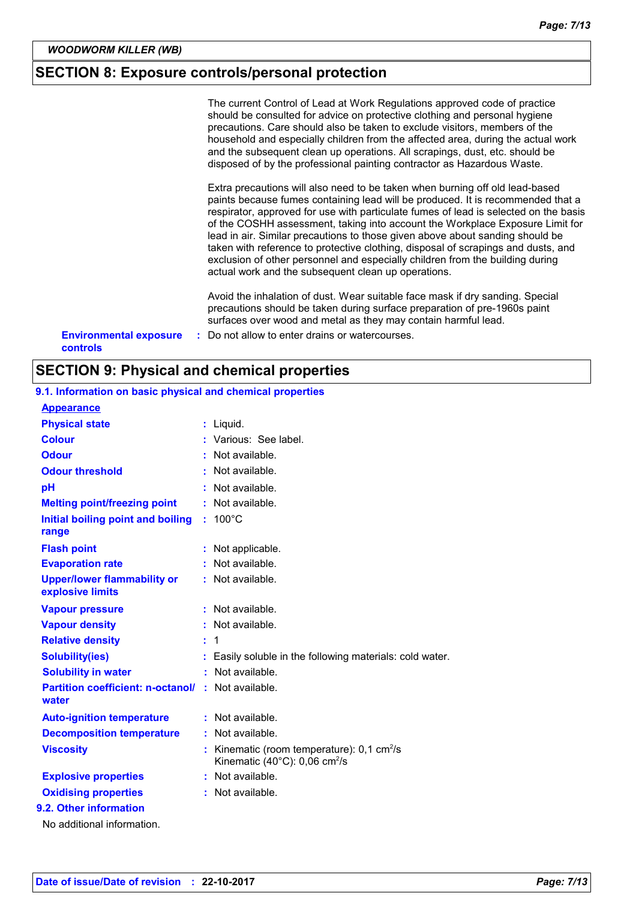### **SECTION 8: Exposure controls/personal protection**

|                               | <b>SECTION 9: Physical and chemical properties</b>                                                                                                                                                                                                                                                                                                                                                                                                                                                                                                                                                                                                     |
|-------------------------------|--------------------------------------------------------------------------------------------------------------------------------------------------------------------------------------------------------------------------------------------------------------------------------------------------------------------------------------------------------------------------------------------------------------------------------------------------------------------------------------------------------------------------------------------------------------------------------------------------------------------------------------------------------|
| <b>controls</b>               |                                                                                                                                                                                                                                                                                                                                                                                                                                                                                                                                                                                                                                                        |
| <b>Environmental exposure</b> | Avoid the inhalation of dust. Wear suitable face mask if dry sanding. Special<br>precautions should be taken during surface preparation of pre-1960s paint<br>surfaces over wood and metal as they may contain harmful lead.<br>: Do not allow to enter drains or watercourses.                                                                                                                                                                                                                                                                                                                                                                        |
|                               | Extra precautions will also need to be taken when burning off old lead-based<br>paints because fumes containing lead will be produced. It is recommended that a<br>respirator, approved for use with particulate fumes of lead is selected on the basis<br>of the COSHH assessment, taking into account the Workplace Exposure Limit for<br>lead in air. Similar precautions to those given above about sanding should be<br>taken with reference to protective clothing, disposal of scrapings and dusts, and<br>exclusion of other personnel and especially children from the building during<br>actual work and the subsequent clean up operations. |
|                               | The current Control of Lead at Work Regulations approved code of practice<br>should be consulted for advice on protective clothing and personal hygiene<br>precautions. Care should also be taken to exclude visitors, members of the<br>household and especially children from the affected area, during the actual work<br>and the subsequent clean up operations. All scrapings, dust, etc. should be<br>disposed of by the professional painting contractor as Hazardous Waste.                                                                                                                                                                    |

| <b>Appearance</b>                                      |    |                                                                                                                |
|--------------------------------------------------------|----|----------------------------------------------------------------------------------------------------------------|
| <b>Physical state</b>                                  |    | : Liquid.                                                                                                      |
| <b>Colour</b>                                          |    | : Various: See label.                                                                                          |
| <b>Odour</b>                                           |    | : Not available.                                                                                               |
| <b>Odour threshold</b>                                 |    | Not available.                                                                                                 |
| рH                                                     |    | Not available.                                                                                                 |
| <b>Melting point/freezing point</b>                    | t. | Not available.                                                                                                 |
| Initial boiling point and boiling<br>range             |    | $100^{\circ}$ C                                                                                                |
| <b>Flash point</b>                                     |    | Not applicable.                                                                                                |
| <b>Evaporation rate</b>                                |    | Not available.                                                                                                 |
| <b>Upper/lower flammability or</b><br>explosive limits |    | $:$ Not available.                                                                                             |
| <b>Vapour pressure</b>                                 |    | : Not available.                                                                                               |
| <b>Vapour density</b>                                  |    | Not available.                                                                                                 |
| <b>Relative density</b>                                | t. | $\overline{1}$                                                                                                 |
| <b>Solubility(ies)</b>                                 |    | Easily soluble in the following materials: cold water.                                                         |
| <b>Solubility in water</b>                             | ÷. | Not available.                                                                                                 |
| <b>Partition coefficient: n-octanol/</b><br>water      | ÷. | Not available.                                                                                                 |
| <b>Auto-ignition temperature</b>                       | t. | Not available.                                                                                                 |
| <b>Decomposition temperature</b>                       |    | Not available.                                                                                                 |
| <b>Viscosity</b>                                       |    | Kinematic (room temperature): $0,1$ cm <sup>2</sup> /s<br>Kinematic (40 $^{\circ}$ C): 0,06 cm <sup>2</sup> /s |
| <b>Explosive properties</b>                            |    | : Not available.                                                                                               |
| <b>Oxidising properties</b>                            |    | Not available.                                                                                                 |
| 9.2. Other information                                 |    |                                                                                                                |
| No additional information.                             |    |                                                                                                                |

### **9.1. Information on basic physical and chemical properties**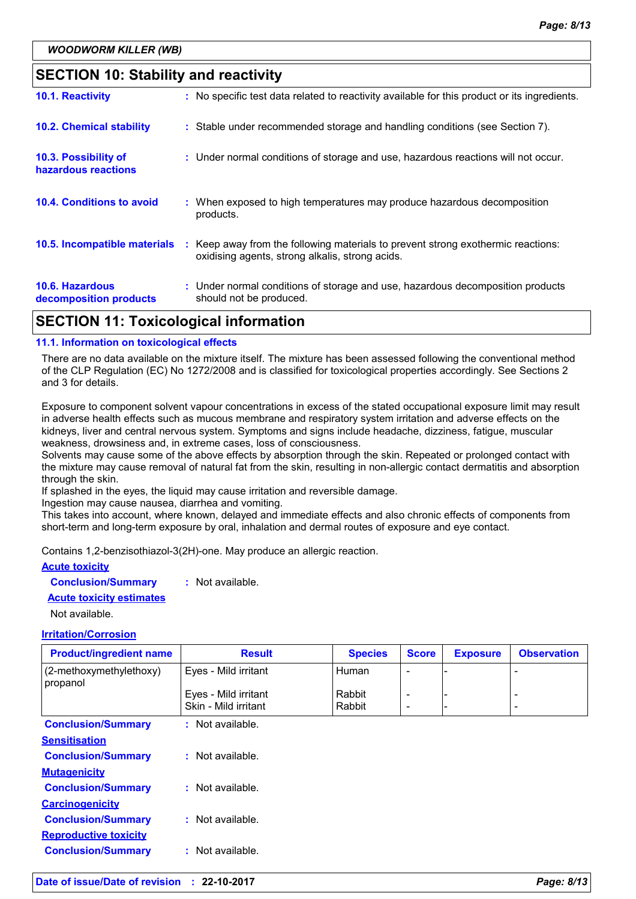### **SECTION 10: Stability and reactivity**

| <b>10.6. Hazardous</b><br>decomposition products | : Under normal conditions of storage and use, hazardous decomposition products<br>should not be produced.                           |
|--------------------------------------------------|-------------------------------------------------------------------------------------------------------------------------------------|
| 10.5. Incompatible materials                     | : Keep away from the following materials to prevent strong exothermic reactions:<br>oxidising agents, strong alkalis, strong acids. |
| <b>10.4. Conditions to avoid</b>                 | : When exposed to high temperatures may produce hazardous decomposition<br>products.                                                |
| 10.3. Possibility of<br>hazardous reactions      | : Under normal conditions of storage and use, hazardous reactions will not occur.                                                   |
| <b>10.2. Chemical stability</b>                  | : Stable under recommended storage and handling conditions (see Section 7).                                                         |
| 10.1. Reactivity                                 | : No specific test data related to reactivity available for this product or its ingredients.                                        |

### **SECTION 11: Toxicological information**

#### **11.1. Information on toxicological effects**

There are no data available on the mixture itself. The mixture has been assessed following the conventional method of the CLP Regulation (EC) No 1272/2008 and is classified for toxicological properties accordingly. See Sections 2 and 3 for details.

Exposure to component solvent vapour concentrations in excess of the stated occupational exposure limit may result in adverse health effects such as mucous membrane and respiratory system irritation and adverse effects on the kidneys, liver and central nervous system. Symptoms and signs include headache, dizziness, fatigue, muscular weakness, drowsiness and, in extreme cases, loss of consciousness.

Solvents may cause some of the above effects by absorption through the skin. Repeated or prolonged contact with the mixture may cause removal of natural fat from the skin, resulting in non-allergic contact dermatitis and absorption through the skin.

If splashed in the eyes, the liquid may cause irritation and reversible damage.

Ingestion may cause nausea, diarrhea and vomiting.

This takes into account, where known, delayed and immediate effects and also chronic effects of components from short-term and long-term exposure by oral, inhalation and dermal routes of exposure and eye contact.

Contains 1,2-benzisothiazol-3(2H)-one. May produce an allergic reaction.

#### **Acute toxicity**

**Conclusion/Summary :** Not available.

#### **Acute toxicity estimates**

Not available.

#### **Irritation/Corrosion**

| <b>Product/ingredient name</b>      | <b>Result</b>                                | <b>Species</b>   | <b>Score</b>                  | <b>Exposure</b> | <b>Observation</b>       |
|-------------------------------------|----------------------------------------------|------------------|-------------------------------|-----------------|--------------------------|
| (2-methoxymethylethoxy)<br>propanol | Eyes - Mild irritant                         | <b>Human</b>     |                               |                 |                          |
|                                     | Eyes - Mild irritant<br>Skin - Mild irritant | Rabbit<br>Rabbit | -<br>$\overline{\phantom{a}}$ |                 | $\overline{\phantom{0}}$ |
| <b>Conclusion/Summary</b>           | : Not available.                             |                  |                               |                 |                          |
| <b>Sensitisation</b>                |                                              |                  |                               |                 |                          |
| <b>Conclusion/Summary</b>           | : Not available.                             |                  |                               |                 |                          |
| <b>Mutagenicity</b>                 |                                              |                  |                               |                 |                          |
| <b>Conclusion/Summary</b>           | : Not available.                             |                  |                               |                 |                          |
| <b>Carcinogenicity</b>              |                                              |                  |                               |                 |                          |
| <b>Conclusion/Summary</b>           | : Not available.                             |                  |                               |                 |                          |
| <b>Reproductive toxicity</b>        |                                              |                  |                               |                 |                          |
| <b>Conclusion/Summary</b>           | : Not available.                             |                  |                               |                 |                          |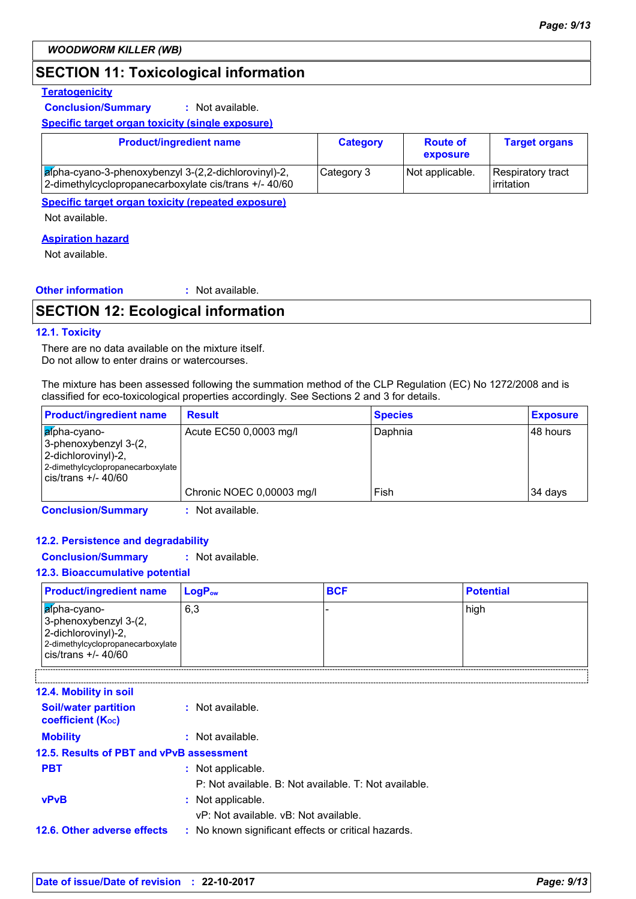### **SECTION 11: Toxicological information**

#### **Teratogenicity**

**Conclusion/Summary :** Not available.

**Specific target organ toxicity (single exposure)**

| <b>Product/ingredient name</b>                                                                                         | <b>Category</b> | <b>Route of</b><br>exposure | <b>Target organs</b>            |
|------------------------------------------------------------------------------------------------------------------------|-----------------|-----------------------------|---------------------------------|
| $\sqrt{a}$ pha-cyano-3-phenoxybenzyl 3-(2,2-dichlorovinyl)-2,<br>2-dimethylcyclopropanecarboxylate cis/trans +/- 40/60 | Category 3      | Not applicable.             | Respiratory tract<br>irritation |

**Specific target organ toxicity (repeated exposure)**

Not available.

#### **Aspiration hazard**

Not available.

#### **Other information :** : Not available.

### **SECTION 12: Ecological information**

#### **12.1. Toxicity**

There are no data available on the mixture itself. Do not allow to enter drains or watercourses.

The mixture has been assessed following the summation method of the CLP Regulation (EC) No 1272/2008 and is classified for eco-toxicological properties accordingly. See Sections 2 and 3 for details.

| <b>Product/ingredient name</b>                                                                                              | <b>Result</b>             | <b>Species</b> | <b>Exposure</b> |
|-----------------------------------------------------------------------------------------------------------------------------|---------------------------|----------------|-----------------|
| afpha-cyano-<br>3-phenoxybenzyl 3-(2,<br>2-dichlorovinyl)-2,<br>2-dimethylcyclopropanecarboxylate<br>$cis/t$ rans $+/40/60$ | Acute EC50 0,0003 mg/l    | Daphnia        | 48 hours        |
|                                                                                                                             | Chronic NOEC 0,00003 mg/l | Fish           | 34 days         |

**Conclusion/Summary :** Not available.

#### **12.2. Persistence and degradability**

**Conclusion/Summary :** Not available.

#### **12.3. Bioaccumulative potential**

| <b>Product/ingredient name</b>                                                                                                         | $\mathsf{LogP}_\mathsf{ow}$ | <b>BCF</b> | <b>Potential</b> |
|----------------------------------------------------------------------------------------------------------------------------------------|-----------------------------|------------|------------------|
| afpha-cyano-<br>3-phenoxybenzyl 3-(2,<br>2-dichlorovinyl)-2,<br>2-dimethylcyclopropanecarboxylate<br>$\frac{1}{1}$ cis/trans +/- 40/60 | 6,3                         |            | high             |

| <b>12.4. Mobility in soil</b>                           |                                                       |
|---------------------------------------------------------|-------------------------------------------------------|
| <b>Soil/water partition</b><br><b>coefficient (Koc)</b> | : Not available.                                      |
| <b>Mobility</b>                                         | : Not available.                                      |
| 12.5. Results of PBT and vPvB assessment                |                                                       |
| <b>PBT</b>                                              | : Not applicable.                                     |
|                                                         | P: Not available. B: Not available. T: Not available. |
| <b>vPvB</b>                                             | : Not applicable.                                     |
|                                                         | vP: Not available, vB: Not available.                 |
| 12.6. Other adverse effects                             | : No known significant effects or critical hazards.   |
|                                                         |                                                       |

-----------------------------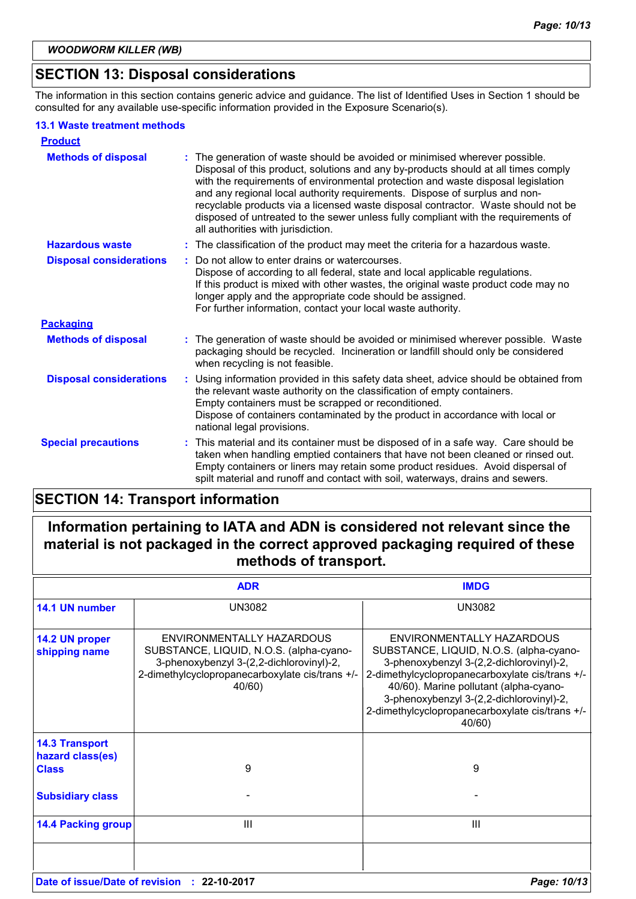### **SECTION 13: Disposal considerations**

The information in this section contains generic advice and guidance. The list of Identified Uses in Section 1 should be consulted for any available use-specific information provided in the Exposure Scenario(s).

#### **13.1 Waste treatment methods**

| <b>Product</b>                 |                                                                                                                                                                                                                                                                                                                                                                                                                                                                                                                                                         |
|--------------------------------|---------------------------------------------------------------------------------------------------------------------------------------------------------------------------------------------------------------------------------------------------------------------------------------------------------------------------------------------------------------------------------------------------------------------------------------------------------------------------------------------------------------------------------------------------------|
| <b>Methods of disposal</b>     | The generation of waste should be avoided or minimised wherever possible.<br>÷<br>Disposal of this product, solutions and any by-products should at all times comply<br>with the requirements of environmental protection and waste disposal legislation<br>and any regional local authority requirements. Dispose of surplus and non-<br>recyclable products via a licensed waste disposal contractor. Waste should not be<br>disposed of untreated to the sewer unless fully compliant with the requirements of<br>all authorities with jurisdiction. |
| <b>Hazardous waste</b>         | : The classification of the product may meet the criteria for a hazardous waste.                                                                                                                                                                                                                                                                                                                                                                                                                                                                        |
| <b>Disposal considerations</b> | : Do not allow to enter drains or watercourses.<br>Dispose of according to all federal, state and local applicable regulations.<br>If this product is mixed with other wastes, the original waste product code may no<br>longer apply and the appropriate code should be assigned.<br>For further information, contact your local waste authority.                                                                                                                                                                                                      |
| <b>Packaging</b>               |                                                                                                                                                                                                                                                                                                                                                                                                                                                                                                                                                         |
| <b>Methods of disposal</b>     | : The generation of waste should be avoided or minimised wherever possible. Waste<br>packaging should be recycled. Incineration or landfill should only be considered<br>when recycling is not feasible.                                                                                                                                                                                                                                                                                                                                                |
| <b>Disposal considerations</b> | : Using information provided in this safety data sheet, advice should be obtained from<br>the relevant waste authority on the classification of empty containers.<br>Empty containers must be scrapped or reconditioned.<br>Dispose of containers contaminated by the product in accordance with local or<br>national legal provisions.                                                                                                                                                                                                                 |
| <b>Special precautions</b>     | : This material and its container must be disposed of in a safe way. Care should be<br>taken when handling emptied containers that have not been cleaned or rinsed out.<br>Empty containers or liners may retain some product residues. Avoid dispersal of<br>spilt material and runoff and contact with soil, waterways, drains and sewers.                                                                                                                                                                                                            |

### **SECTION 14: Transport information**

**Information pertaining to IATA and ADN is considered not relevant since the material is not packaged in the correct approved packaging required of these methods of transport.**

|                                           | <b>ADR</b>                                                                                                                                                                    | <b>IMDG</b>                                                                                                                                                                                                                                                                                                            |
|-------------------------------------------|-------------------------------------------------------------------------------------------------------------------------------------------------------------------------------|------------------------------------------------------------------------------------------------------------------------------------------------------------------------------------------------------------------------------------------------------------------------------------------------------------------------|
| 14.1 UN number                            | <b>UN3082</b>                                                                                                                                                                 | <b>UN3082</b>                                                                                                                                                                                                                                                                                                          |
| 14.2 UN proper<br>shipping name           | ENVIRONMENTALLY HAZARDOUS<br>SUBSTANCE, LIQUID, N.O.S. (alpha-cyano-<br>3-phenoxybenzyl 3-(2,2-dichlorovinyl)-2,<br>2-dimethylcyclopropanecarboxylate cis/trans +/-<br>40/60) | ENVIRONMENTALLY HAZARDOUS<br>SUBSTANCE, LIQUID, N.O.S. (alpha-cyano-<br>3-phenoxybenzyl 3-(2,2-dichlorovinyl)-2,<br>2-dimethylcyclopropanecarboxylate cis/trans +/-<br>40/60). Marine pollutant (alpha-cyano-<br>3-phenoxybenzyl 3-(2,2-dichlorovinyl)-2,<br>2-dimethylcyclopropanecarboxylate cis/trans +/-<br>40/60) |
| <b>14.3 Transport</b><br>hazard class(es) |                                                                                                                                                                               |                                                                                                                                                                                                                                                                                                                        |
| <b>Class</b>                              | 9                                                                                                                                                                             | 9                                                                                                                                                                                                                                                                                                                      |
| <b>Subsidiary class</b>                   |                                                                                                                                                                               |                                                                                                                                                                                                                                                                                                                        |
| <b>14.4 Packing group</b>                 | Ш                                                                                                                                                                             | Ш                                                                                                                                                                                                                                                                                                                      |
| Date of issue/Date of revision            | $: 22 - 10 - 2017$                                                                                                                                                            | Page: 10/13                                                                                                                                                                                                                                                                                                            |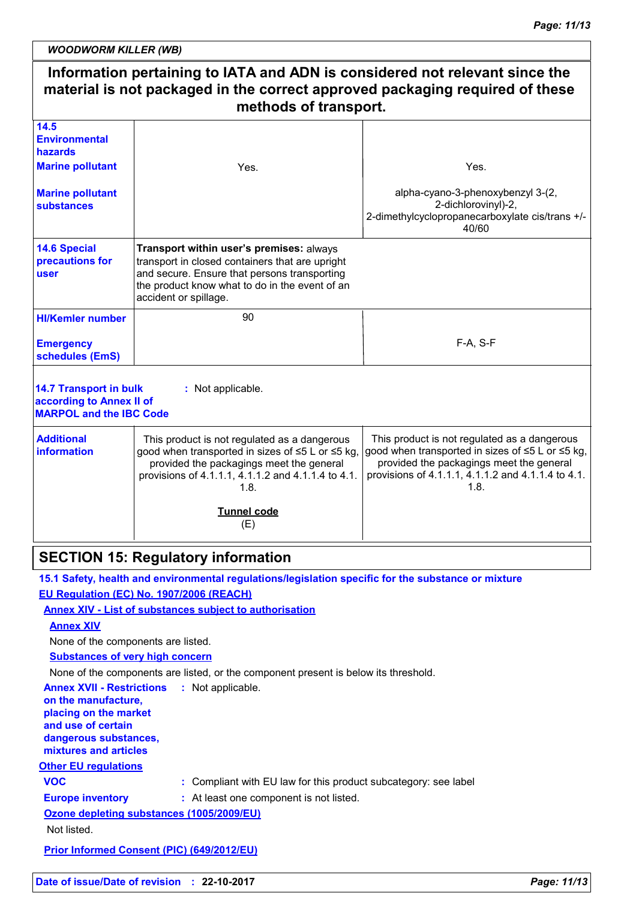*WOODWORM KILLER (WB)*

|                                                                                             | material is not packaged in the correct approved packaging required of these<br>methods of transport.                                                                                                                  | Information pertaining to IATA and ADN is considered not relevant since the                                                                                                                                |
|---------------------------------------------------------------------------------------------|------------------------------------------------------------------------------------------------------------------------------------------------------------------------------------------------------------------------|------------------------------------------------------------------------------------------------------------------------------------------------------------------------------------------------------------|
| 14.5                                                                                        |                                                                                                                                                                                                                        |                                                                                                                                                                                                            |
| <b>Environmental</b><br>hazards                                                             |                                                                                                                                                                                                                        |                                                                                                                                                                                                            |
| <b>Marine pollutant</b>                                                                     | Yes.                                                                                                                                                                                                                   | Yes.                                                                                                                                                                                                       |
| <b>Marine pollutant</b><br><b>substances</b>                                                |                                                                                                                                                                                                                        | alpha-cyano-3-phenoxybenzyl 3-(2,<br>2-dichlorovinyl)-2,<br>2-dimethylcyclopropanecarboxylate cis/trans +/-<br>40/60                                                                                       |
| <b>14.6 Special</b><br>precautions for<br><b>user</b>                                       | Transport within user's premises: always<br>transport in closed containers that are upright<br>and secure. Ensure that persons transporting<br>the product know what to do in the event of an<br>accident or spillage. |                                                                                                                                                                                                            |
| <b>HI/Kemler number</b>                                                                     | 90                                                                                                                                                                                                                     |                                                                                                                                                                                                            |
| <b>Emergency</b><br>schedules (EmS)                                                         |                                                                                                                                                                                                                        | F-A, S-F                                                                                                                                                                                                   |
| <b>14.7 Transport in bulk</b><br>according to Annex II of<br><b>MARPOL and the IBC Code</b> | : Not applicable.                                                                                                                                                                                                      |                                                                                                                                                                                                            |
| <b>Additional</b><br><b>information</b>                                                     | This product is not regulated as a dangerous<br>good when transported in sizes of ≤5 L or ≤5 kg,<br>provided the packagings meet the general<br>provisions of 4.1.1.1, 4.1.1.2 and 4.1.1.4 to 4.1.<br>1.8.             | This product is not regulated as a dangerous<br>good when transported in sizes of ≤5 L or ≤5 kg,<br>provided the packagings meet the general<br>provisions of 4.1.1.1, 4.1.1.2 and 4.1.1.4 to 4.1.<br>1.8. |
|                                                                                             | <b>Tunnel code</b><br>(E)                                                                                                                                                                                              |                                                                                                                                                                                                            |
|                                                                                             | <b>SECTION 15: Regulatory information</b>                                                                                                                                                                              |                                                                                                                                                                                                            |
|                                                                                             | 15.1 Safety, health and environmental regulations/legislation specific for the substance or mixture                                                                                                                    |                                                                                                                                                                                                            |
|                                                                                             | EU Regulation (EC) No. 1907/2006 (REACH)                                                                                                                                                                               |                                                                                                                                                                                                            |
|                                                                                             | <b>Annex XIV - List of substances subject to authorisation</b>                                                                                                                                                         |                                                                                                                                                                                                            |
| <b>Annex XIV</b>                                                                            |                                                                                                                                                                                                                        |                                                                                                                                                                                                            |
| None of the components are listed.<br><b>Substances of very high concern</b>                |                                                                                                                                                                                                                        |                                                                                                                                                                                                            |
|                                                                                             | None of the components are listed, or the component present is below its threshold.                                                                                                                                    |                                                                                                                                                                                                            |
| <b>Annex XVII - Restrictions</b><br>on the manufacture,                                     | : Not applicable.                                                                                                                                                                                                      |                                                                                                                                                                                                            |
| placing on the market<br>and use of certain<br>dangerous substances,                        |                                                                                                                                                                                                                        |                                                                                                                                                                                                            |
| mixtures and articles                                                                       |                                                                                                                                                                                                                        |                                                                                                                                                                                                            |
| <b>Other EU regulations</b><br><b>VOC</b>                                                   | : Compliant with EU law for this product subcategory: see label                                                                                                                                                        |                                                                                                                                                                                                            |
| <b>Europe inventory</b>                                                                     | : At least one component is not listed.                                                                                                                                                                                |                                                                                                                                                                                                            |
|                                                                                             | Ozone depleting substances (1005/2009/EU)                                                                                                                                                                              |                                                                                                                                                                                                            |
| Not listed.                                                                                 |                                                                                                                                                                                                                        |                                                                                                                                                                                                            |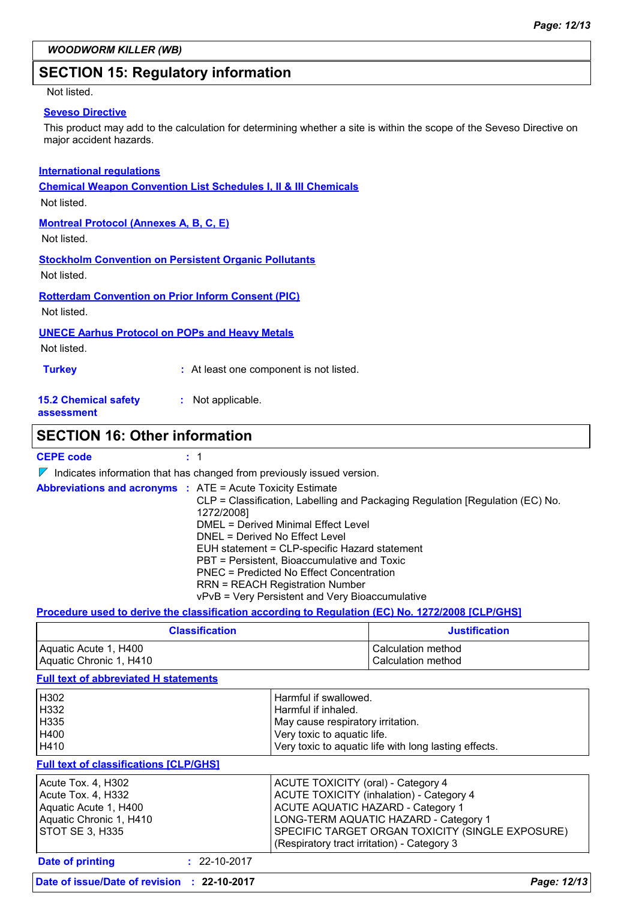### **SECTION 15: Regulatory information**

#### Not listed.

#### **Seveso Directive**

This product may add to the calculation for determining whether a site is within the scope of the Seveso Directive on major accident hazards.

#### **International regulations**

**Chemical Weapon Convention List Schedules I, II & III Chemicals**

Not listed.

#### **Montreal Protocol (Annexes A, B, C, E)**

Not listed.

#### **Stockholm Convention on Persistent Organic Pollutants**

Not listed.

**Rotterdam Convention on Prior Inform Consent (PIC)**

Not listed.

#### **UNECE Aarhus Protocol on POPs and Heavy Metals**

Not listed.

| <b>Turkey</b> | : At least one component is not listed. |
|---------------|-----------------------------------------|
|---------------|-----------------------------------------|

#### **15.2 Chemical safety :** Not applicable.

**assessment**

### **SECTION 16: Other information**

**CEPE code :** 1

 $\nabla$  Indicates information that has changed from previously issued version.

| <b>Abbreviations and acronyms : ATE = Acute Toxicity Estimate</b> |                                                                               |
|-------------------------------------------------------------------|-------------------------------------------------------------------------------|
|                                                                   | CLP = Classification, Labelling and Packaging Regulation [Regulation (EC) No. |
|                                                                   | 1272/2008]                                                                    |
|                                                                   | DMEL = Derived Minimal Effect Level                                           |
|                                                                   | DNEL = Derived No Effect Level                                                |
|                                                                   | EUH statement = CLP-specific Hazard statement                                 |
|                                                                   | PBT = Persistent, Bioaccumulative and Toxic                                   |
|                                                                   | PNEC = Predicted No Effect Concentration                                      |
|                                                                   | <b>RRN = REACH Registration Number</b>                                        |
|                                                                   | vPvB = Very Persistent and Very Bioaccumulative                               |

#### **Procedure used to derive the classification according to Regulation (EC) No. 1272/2008 [CLP/GHS]**

| <b>Classification</b>   | <b>Justification</b> |
|-------------------------|----------------------|
| Aquatic Acute 1, H400   | l Calculation method |
| Aquatic Chronic 1, H410 | Calculation method   |

#### **Full text of abbreviated H statements**

| <b>Date of printing</b><br>$: 22 - 10 - 2017$ |                                                       |  |
|-----------------------------------------------|-------------------------------------------------------|--|
|                                               | (Respiratory tract irritation) - Category 3           |  |
| <b>STOT SE 3, H335</b>                        | SPECIFIC TARGET ORGAN TOXICITY (SINGLE EXPOSURE)      |  |
| Aquatic Chronic 1, H410                       | LONG-TERM AQUATIC HAZARD - Category 1                 |  |
| Aquatic Acute 1, H400                         | <b>ACUTE AQUATIC HAZARD - Category 1</b>              |  |
| Acute Tox. 4, H332                            | <b>ACUTE TOXICITY (inhalation) - Category 4</b>       |  |
| Acute Tox. 4, H302                            | <b>ACUTE TOXICITY (oral) - Category 4</b>             |  |
| <b>Full text of classifications [CLP/GHS]</b> |                                                       |  |
| H410                                          | Very toxic to aquatic life with long lasting effects. |  |
| H400                                          | Very toxic to aquatic life.                           |  |
| H <sub>335</sub>                              | May cause respiratory irritation.                     |  |
| H332                                          | Harmful if inhaled.                                   |  |
| H302                                          | Harmful if swallowed.                                 |  |